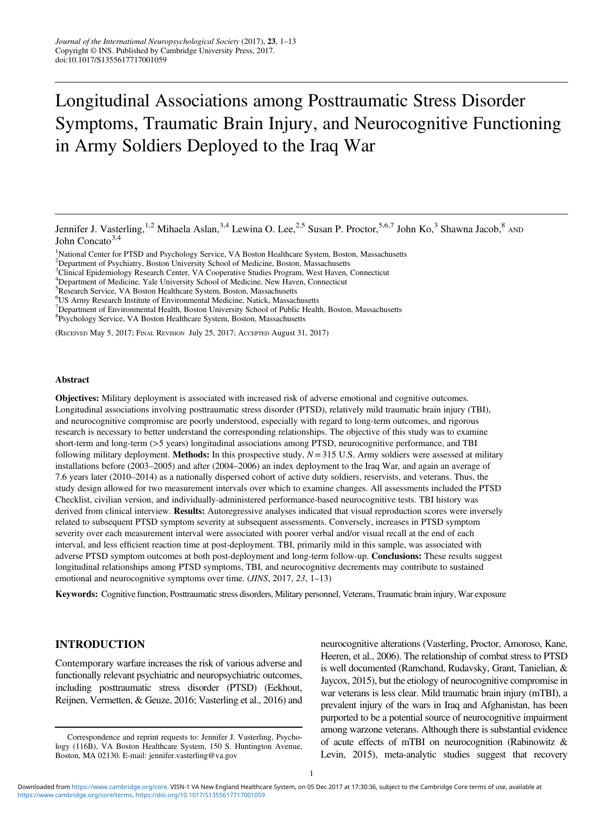# Longitudinal Associations among Posttraumatic Stress Disorder Symptoms, Traumatic Brain Injury, and Neurocognitive Functioning in Army Soldiers Deployed to the Iraq War

- <sup>1</sup>National Center for PTSD and Psychology Service, VA Boston Healthcare System, Boston, Massachusetts <sup>2</sup>Department of Psychiatry, Boston University School of Medicine, Boston, Massachusetts
- <sup>2</sup>Department of Psychiatry, Boston University School of Medicine, Boston, Massachusetts
- <sup>3</sup>Clinical Epidemiology Research Center, VA Cooperative Studies Program, West Haven, Connecticut
- <sup>4</sup>Department of Medicine, Yale University School of Medicine, New Haven, Connecticut
- <sup>5</sup>Research Service, VA Boston Healthcare System, Boston, Massachusetts
- US Army Research Institute of Environmental Medicine, Natick, Massachusetts <sup>7</sup>
- $<sup>7</sup>$ Department of Environmental Health, Boston University School of Public Health, Boston, Massachusetts</sup>
- Psychology Service, VA Boston Healthcare System, Boston, Massachusetts

(RECEIVED May 5, 2017; FINAL REVISION July 25, 2017; ACCEPTED August 31, 2017)

#### Abstract

Objectives: Military deployment is associated with increased risk of adverse emotional and cognitive outcomes. Longitudinal associations involving posttraumatic stress disorder (PTSD), relatively mild traumatic brain injury (TBI), and neurocognitive compromise are poorly understood, especially with regard to long-term outcomes, and rigorous research is necessary to better understand the corresponding relationships. The objective of this study was to examine short-term and long-term (>5 years) longitudinal associations among PTSD, neurocognitive performance, and TBI following military deployment. Methods: In this prospective study,  $N=315$  U.S. Army soldiers were assessed at military installations before (2003–2005) and after (2004–2006) an index deployment to the Iraq War, and again an average of 7.6 years later (2010–2014) as a nationally dispersed cohort of active duty soldiers, reservists, and veterans. Thus, the study design allowed for two measurement intervals over which to examine changes. All assessments included the PTSD Checklist, civilian version, and individually-administered performance-based neurocognitive tests. TBI history was derived from clinical interview. Results: Autoregressive analyses indicated that visual reproduction scores were inversely related to subsequent PTSD symptom severity at subsequent assessments. Conversely, increases in PTSD symptom severity over each measurement interval were associated with poorer verbal and/or visual recall at the end of each interval, and less efficient reaction time at post-deployment. TBI, primarily mild in this sample, was associated with adverse PTSD symptom outcomes at both post-deployment and long-term follow-up. **Conclusions:** These results suggest longitudinal relationships among PTSD symptoms, TBI, and neurocognitive decrements may contribute to sustained emotional and neurocognitive symptoms over time. (JINS, 2017, 23, 1–13)

Keywords: Cognitive function, Posttraumatic stress disorders, Military personnel, Veterans, Traumatic brain injury, War exposure

functionally relevant psychiatric and neuropsychiatric outcomes,<br>including posttraumatic stress disorder (PTSD) (Eekhout,<br>was vetering is less clear. Mild truumatic brain injury (mTBD) a

INTRODUCTION neurocognitive alterations (Vasterling, Proctor, Amoroso, Kane, Heeren, et al., [2006\)](#page-12-0). The relationship of combat stress to PTSD Contemporary warfare increases the risk of various adverse and is well documented (Ramchand, Rudavsky, Grant, Tanielian, & war veterans is less clear. Mild traumatic brain injury (mTBI), a Reijnen, Vermetten, & Geuze, [2016](#page-11-0); Vasterling et al., [2016\)](#page-12-0) and prevalent injury of the wars in Iraq and Afghanistan, has been purported to be a potential source of neurocognitive impairment among warzone veterans. Although there is substantial evidence of acute effects of mTBI on neurocognition (Rabinowitz  $\&$ Boston, MA 02130. E-mail: [jennifer.vasterling@va.gov](mailto:jennifer.vasterling@va.gov) Levin, [2015\)](#page-11-0), meta-analytic studies suggest that recovery

Jennifer J. Vasterling,<sup>1,2</sup> Mihaela Aslan,<sup>3,4</sup> Lewina O. Lee,<sup>2,5</sup> Susan P. Proctor,<sup>5,6,7</sup> John Ko,<sup>3</sup> Shawna Jacob,<sup>8</sup> AND John Concato $3,4$ 

Correspondence and reprint requests to: Jennifer J. Vasterling, Psychology (116B), VA Boston Healthcare System, 150 S. Huntington Avenue,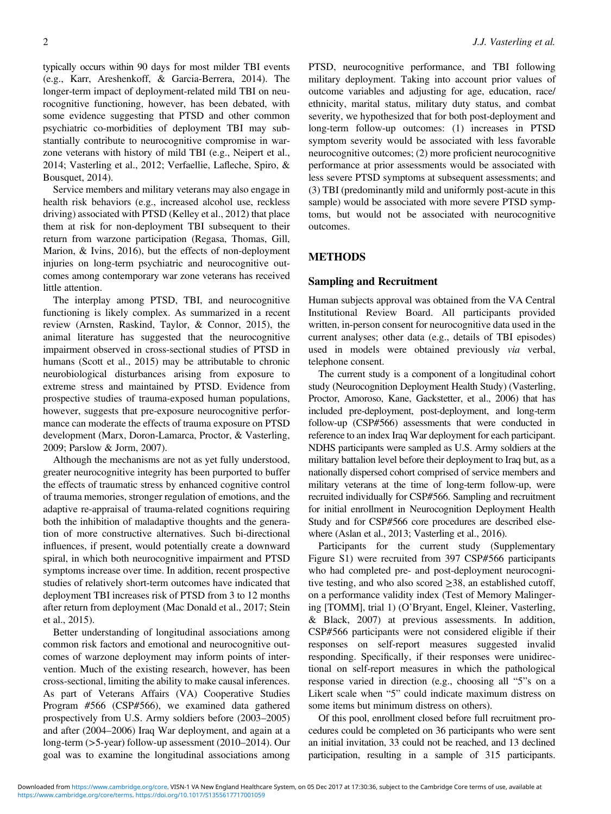typically occurs within 90 days for most milder TBI events (e.g., Karr, Areshenkoff, & Garcia-Berrera, [2014\)](#page-11-0). The longer-term impact of deployment-related mild TBI on neurocognitive functioning, however, has been debated, with some evidence suggesting that PTSD and other common psychiatric co-morbidities of deployment TBI may substantially contribute to neurocognitive compromise in warzone veterans with history of mild TBI (e.g., Neipert et al., [2014;](#page-11-0) Vasterling et al., [2012](#page-12-0); Verfaellie, Lafleche, Spiro, & Bousquet, [2014\)](#page-12-0).

Service members and military veterans may also engage in health risk behaviors (e.g., increased alcohol use, reckless driving) associated with PTSD (Kelley et al., [2012](#page-11-0)) that place them at risk for non-deployment TBI subsequent to their return from warzone participation (Regasa, Thomas, Gill, Marion, & Ivins, [2016](#page-11-0)), but the effects of non-deployment injuries on long-term psychiatric and neurocognitive outcomes among contemporary war zone veterans has received little attention.

The interplay among PTSD, TBI, and neurocognitive functioning is likely complex. As summarized in a recent review (Arnsten, Raskind, Taylor, & Connor, [2015](#page-10-0)), the animal literature has suggested that the neurocognitive impairment observed in cross-sectional studies of PTSD in humans (Scott et al., [2015\)](#page-11-0) may be attributable to chronic neurobiological disturbances arising from exposure to extreme stress and maintained by PTSD. Evidence from prospective studies of trauma-exposed human populations, however, suggests that pre-exposure neurocognitive performance can moderate the effects of trauma exposure on PTSD development (Marx, Doron-Lamarca, Proctor, & Vasterling, [2009;](#page-11-0) Parslow & Jorm, [2007](#page-11-0)).

Although the mechanisms are not as yet fully understood, greater neurocognitive integrity has been purported to buffer the effects of traumatic stress by enhanced cognitive control of trauma memories, stronger regulation of emotions, and the adaptive re-appraisal of trauma-related cognitions requiring both the inhibition of maladaptive thoughts and the generation of more constructive alternatives. Such bi-directional influences, if present, would potentially create a downward spiral, in which both neurocognitive impairment and PTSD symptoms increase over time. In addition, recent prospective studies of relatively short-term outcomes have indicated that deployment TBI increases risk of PTSD from 3 to 12 months after return from deployment (Mac Donald et al., [2017;](#page-11-0) Stein et al., [2015](#page-12-0)).

Better understanding of longitudinal associations among common risk factors and emotional and neurocognitive outcomes of warzone deployment may inform points of intervention. Much of the existing research, however, has been cross-sectional, limiting the ability to make causal inferences. As part of Veterans Affairs (VA) Cooperative Studies Program #566 (CSP#566), we examined data gathered prospectively from U.S. Army soldiers before (2003–2005) and after (2004–2006) Iraq War deployment, and again at a long-term (>5-year) follow-up assessment (2010–2014). Our goal was to examine the longitudinal associations among

PTSD, neurocognitive performance, and TBI following military deployment. Taking into account prior values of outcome variables and adjusting for age, education, race/ ethnicity, marital status, military duty status, and combat severity, we hypothesized that for both post-deployment and long-term follow-up outcomes: (1) increases in PTSD symptom severity would be associated with less favorable neurocognitive outcomes; (2) more proficient neurocognitive performance at prior assessments would be associated with less severe PTSD symptoms at subsequent assessments; and (3) TBI (predominantly mild and uniformly post-acute in this sample) would be associated with more severe PTSD symptoms, but would not be associated with neurocognitive outcomes.

#### METHODS

### Sampling and Recruitment

Human subjects approval was obtained from the VA Central Institutional Review Board. All participants provided written, in-person consent for neurocognitive data used in the current analyses; other data (e.g., details of TBI episodes) used in models were obtained previously via verbal, telephone consent.

The current study is a component of a longitudinal cohort study (Neurocognition Deployment Health Study) (Vasterling, Proctor, Amoroso, Kane, Gackstetter, et al., [2006](#page-12-0)) that has included pre-deployment, post-deployment, and long-term follow-up (CSP#566) assessments that were conducted in reference to an index Iraq War deployment for each participant. NDHS participants were sampled as U.S. Army soldiers at the military battalion level before their deployment to Iraq but, as a nationally dispersed cohort comprised of service members and military veterans at the time of long-term follow-up, were recruited individually for CSP#566. Sampling and recruitment for initial enrollment in Neurocognition Deployment Health Study and for CSP#566 core procedures are described elsewhere (Aslan et al., [2013;](#page-10-0) Vasterling et al., [2016\)](#page-12-0).

Participants for the current study (Supplementary Figure S1) were recruited from 397 CSP#566 participants who had completed pre- and post-deployment neurocognitive testing, and who also scored  $\geq 38$ , an established cutoff, on a performance validity index (Test of Memory Malingering [TOMM], trial 1) (O'Bryant, Engel, Kleiner, Vasterling, & Black, [2007](#page-11-0)) at previous assessments. In addition, CSP#566 participants were not considered eligible if their responses on self-report measures suggested invalid responding. Specifically, if their responses were unidirectional on self-report measures in which the pathological response varied in direction (e.g., choosing all "5"s on a Likert scale when "5" could indicate maximum distress on some items but minimum distress on others).

Of this pool, enrollment closed before full recruitment procedures could be completed on 36 participants who were sent an initial invitation, 33 could not be reached, and 13 declined participation, resulting in a sample of 315 participants.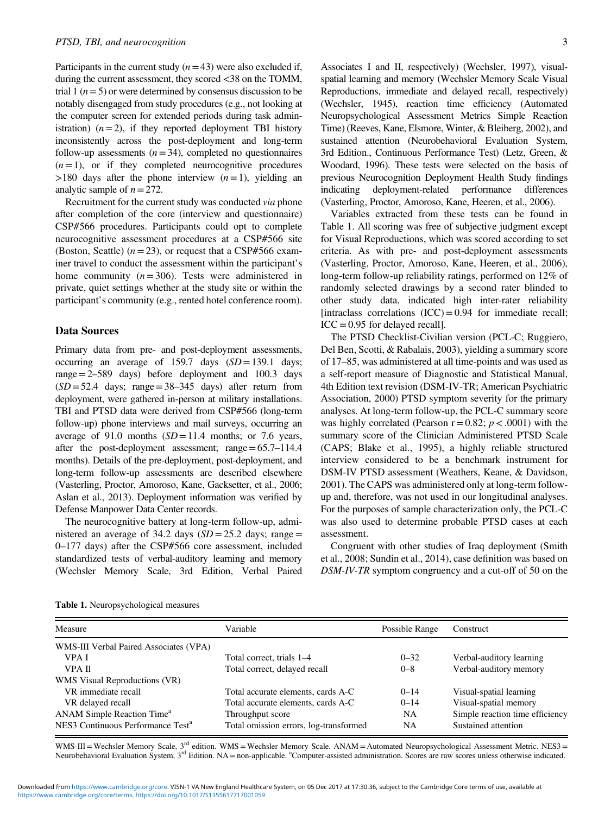Participants in the current study  $(n=43)$  were also excluded if, during the current assessment, they scored <38 on the TOMM, trial 1 ( $n=5$ ) or were determined by consensus discussion to be notably disengaged from study procedures (e.g., not looking at the computer screen for extended periods during task administration)  $(n=2)$ , if they reported deployment TBI history inconsistently across the post-deployment and long-term follow-up assessments  $(n=34)$ , completed no questionnaires  $(n=1)$ , or if they completed neurocognitive procedures  $>180$  days after the phone interview  $(n=1)$ , yielding an analytic sample of  $n=272$ .

Recruitment for the current study was conducted via phone after completion of the core (interview and questionnaire) CSP#566 procedures. Participants could opt to complete neurocognitive assessment procedures at a CSP#566 site (Boston, Seattle)  $(n = 23)$ , or request that a CSP#566 examiner travel to conduct the assessment within the participant's home community  $(n=306)$ . Tests were administered in private, quiet settings whether at the study site or within the participant's community (e.g., rented hotel conference room).

#### Data Sources

Primary data from pre- and post-deployment assessments, occurring an average of 159.7 days  $(SD=139.1$  days; range  $=2-589$  days) before deployment and 100.3 days  $(SD = 52.4$  days; range = 38–345 days) after return from deployment, were gathered in-person at military installations. TBI and PTSD data were derived from CSP#566 (long-term follow-up) phone interviews and mail surveys, occurring an average of 91.0 months  $(SD=11.4$  months; or 7.6 years, after the post-deployment assessment; range=65.7–114.4 months). Details of the pre-deployment, post-deployment, and long-term follow-up assessments are described elsewhere (Vasterling, Proctor, Amoroso, Kane, Gacksetter, et al., [2006](#page-12-0); Aslan et al., [2013](#page-10-0)). Deployment information was verified by Defense Manpower Data Center records.

The neurocognitive battery at long-term follow-up, administered an average of 34.2 days  $SD = 25.2$  days; range = 0–177 days) after the CSP#566 core assessment, included standardized tests of verbal-auditory learning and memory (Wechsler Memory Scale, 3rd Edition, Verbal Paired Associates I and II, respectively) (Wechsler, [1997](#page-12-0)), visualspatial learning and memory (Wechsler Memory Scale Visual Reproductions, immediate and delayed recall, respectively) (Wechsler, [1945](#page-12-0)), reaction time efficiency (Automated Neuropsychological Assessment Metrics Simple Reaction Time) (Reeves, Kane, Elsmore, Winter, & Bleiberg, [2002](#page-11-0)), and sustained attention (Neurobehavioral Evaluation System, 3rd Edition., Continuous Performance Test) (Letz, Green, & Woodard, [1996](#page-11-0)). These tests were selected on the basis of previous Neurocognition Deployment Health Study findings indicating deployment-related performance differences (Vasterling, Proctor, Amoroso, Kane, Heeren, et al., [2006](#page-12-0)).

Variables extracted from these tests can be found in Table 1. All scoring was free of subjective judgment except for Visual Reproductions, which was scored according to set criteria. As with pre- and post-deployment assessments (Vasterling, Proctor, Amoroso, Kane, Heeren, et al., [2006](#page-12-0)), long-term follow-up reliability ratings, performed on 12% of randomly selected drawings by a second rater blinded to other study data, indicated high inter-rater reliability [intraclass correlations  $(ICC)=0.94$  for immediate recall;  $ICC = 0.95$  for delayed recall].

The PTSD Checklist-Civilian version (PCL-C; Ruggiero, Del Ben, Scotti, & Rabalais, [2003\)](#page-11-0), yielding a summary score of 17–85, was administered at all time-points and was used as a self-report measure of Diagnostic and Statistical Manual, 4th Edition text revision (DSM-IV-TR; American Psychiatric Association, [2000\)](#page-10-0) PTSD symptom severity for the primary analyses. At long-term follow-up, the PCL-C summary score was highly correlated (Pearson  $r=0.82$ ;  $p < .0001$ ) with the summary score of the Clinician Administered PTSD Scale (CAPS; Blake et al., [1995](#page-11-0)), a highly reliable structured interview considered to be a benchmark instrument for DSM-IV PTSD assessment (Weathers, Keane, & Davidson, [2001\)](#page-12-0). The CAPS was administered only at long-term followup and, therefore, was not used in our longitudinal analyses. For the purposes of sample characterization only, the PCL-C was also used to determine probable PTSD cases at each assessment.

Congruent with other studies of Iraq deployment (Smith et al., [2008;](#page-12-0) Sundin et al., [2014](#page-12-0)), case definition was based on DSM-IV-TR symptom congruency and a cut-off of 50 on the

| Measure                                       | Variable                               | Possible Range | Construct                       |
|-----------------------------------------------|----------------------------------------|----------------|---------------------------------|
| WMS-III Verbal Paired Associates (VPA)        |                                        |                |                                 |
| VPA I                                         | Total correct, trials 1–4              | $0 - 32$       | Verbal-auditory learning        |
| <b>VPA II</b>                                 | Total correct, delayed recall          | $0 - 8$        | Verbal-auditory memory          |
| WMS Visual Reproductions (VR)                 |                                        |                |                                 |
| VR immediate recall                           | Total accurate elements, cards A-C     | $0 - 14$       | Visual-spatial learning         |
| VR delayed recall                             | Total accurate elements, cards A-C     | $0 - 14$       | Visual-spatial memory           |
| ANAM Simple Reaction Time <sup>a</sup>        | Throughput score                       | NA             | Simple reaction time efficiency |
| NES3 Continuous Performance Test <sup>a</sup> | Total omission errors, log-transformed | NA             | Sustained attention             |

WMS-III = Wechsler Memory Scale,  $3<sup>rd</sup>$  edition. WMS = Wechsler Memory Scale. ANAM = Automated Neuropsychological Assessment Metric. NES3 = Neurobehavioral Evaluation System, 3<sup>rd</sup> Edition. NA = non-applicable. <sup>a</sup>Computer-assisted administration. Scores are raw scores unless otherwise indicated.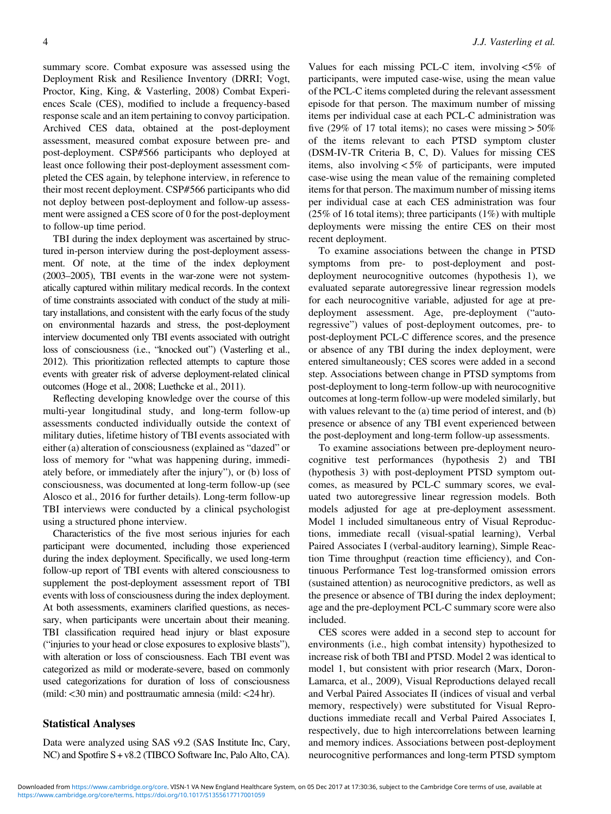summary score. Combat exposure was assessed using the Deployment Risk and Resilience Inventory (DRRI; Vogt, Proctor, King, King, & Vasterling, [2008\)](#page-12-0) Combat Experiences Scale (CES), modified to include a frequency-based response scale and an item pertaining to convoy participation. Archived CES data, obtained at the post-deployment assessment, measured combat exposure between pre- and post-deployment. CSP#566 participants who deployed at least once following their post-deployment assessment completed the CES again, by telephone interview, in reference to their most recent deployment. CSP#566 participants who did not deploy between post-deployment and follow-up assessment were assigned a CES score of 0 for the post-deployment to follow-up time period.

TBI during the index deployment was ascertained by structured in-person interview during the post-deployment assessment. Of note, at the time of the index deployment (2003–2005), TBI events in the war-zone were not systematically captured within military medical records. In the context of time constraints associated with conduct of the study at military installations, and consistent with the early focus of the study on environmental hazards and stress, the post-deployment interview documented only TBI events associated with outright loss of consciousness (i.e., "knocked out") (Vasterling et al., [2012\)](#page-12-0). This prioritization reflected attempts to capture those events with greater risk of adverse deployment-related clinical outcomes (Hoge et al., [2008;](#page-11-0) Luethcke et al., [2011](#page-11-0)).

Reflecting developing knowledge over the course of this multi-year longitudinal study, and long-term follow-up assessments conducted individually outside the context of military duties, lifetime history of TBI events associated with either (a) alteration of consciousness (explained as "dazed" or loss of memory for "what was happening during, immediately before, or immediately after the injury"), or (b) loss of consciousness, was documented at long-term follow-up (see Alosco et al., [2016](#page-10-0) for further details). Long-term follow-up TBI interviews were conducted by a clinical psychologist using a structured phone interview.

Characteristics of the five most serious injuries for each participant were documented, including those experienced during the index deployment. Specifically, we used long-term follow-up report of TBI events with altered consciousness to supplement the post-deployment assessment report of TBI events with loss of consciousness during the index deployment. At both assessments, examiners clarified questions, as necessary, when participants were uncertain about their meaning. TBI classification required head injury or blast exposure ("injuries to your head or close exposures to explosive blasts"), with alteration or loss of consciousness. Each TBI event was categorized as mild or moderate-severe, based on commonly used categorizations for duration of loss of consciousness (mild:<30 min) and posttraumatic amnesia (mild:<24 hr).

#### Statistical Analyses

Data were analyzed using SAS v9.2 (SAS Institute Inc, Cary, NC) and Spotfire S+ v8.2 (TIBCO Software Inc, Palo Alto, CA).

Values for each missing PCL-C item, involving  $<5\%$  of participants, were imputed case-wise, using the mean value of the PCL-C items completed during the relevant assessment episode for that person. The maximum number of missing items per individual case at each PCL-C administration was five (29% of 17 total items); no cases were missing  $> 50\%$ of the items relevant to each PTSD symptom cluster (DSM-IV-TR Criteria B, C, D). Values for missing CES items, also involving <5% of participants, were imputed case-wise using the mean value of the remaining completed items for that person. The maximum number of missing items per individual case at each CES administration was four  $(25\% \text{ of } 16 \text{ total items})$ ; three participants  $(1\%)$  with multiple deployments were missing the entire CES on their most recent deployment.

To examine associations between the change in PTSD symptoms from pre- to post-deployment and postdeployment neurocognitive outcomes (hypothesis 1), we evaluated separate autoregressive linear regression models for each neurocognitive variable, adjusted for age at predeployment assessment. Age, pre-deployment ("autoregressive") values of post-deployment outcomes, pre- to post-deployment PCL-C difference scores, and the presence or absence of any TBI during the index deployment, were entered simultaneously; CES scores were added in a second step. Associations between change in PTSD symptoms from post-deployment to long-term follow-up with neurocognitive outcomes at long-term follow-up were modeled similarly, but with values relevant to the (a) time period of interest, and (b) presence or absence of any TBI event experienced between the post-deployment and long-term follow-up assessments.

To examine associations between pre-deployment neurocognitive test performances (hypothesis 2) and TBI (hypothesis 3) with post-deployment PTSD symptom outcomes, as measured by PCL-C summary scores, we evaluated two autoregressive linear regression models. Both models adjusted for age at pre-deployment assessment. Model 1 included simultaneous entry of Visual Reproductions, immediate recall (visual-spatial learning), Verbal Paired Associates I (verbal-auditory learning), Simple Reaction Time throughput (reaction time efficiency), and Continuous Performance Test log-transformed omission errors (sustained attention) as neurocognitive predictors, as well as the presence or absence of TBI during the index deployment; age and the pre-deployment PCL-C summary score were also included.

CES scores were added in a second step to account for environments (i.e., high combat intensity) hypothesized to increase risk of both TBI and PTSD. Model 2 was identical to model 1, but consistent with prior research (Marx, Doron-Lamarca, et al., [2009](#page-11-0)), Visual Reproductions delayed recall and Verbal Paired Associates II (indices of visual and verbal memory, respectively) were substituted for Visual Reproductions immediate recall and Verbal Paired Associates I, respectively, due to high intercorrelations between learning and memory indices. Associations between post-deployment neurocognitive performances and long-term PTSD symptom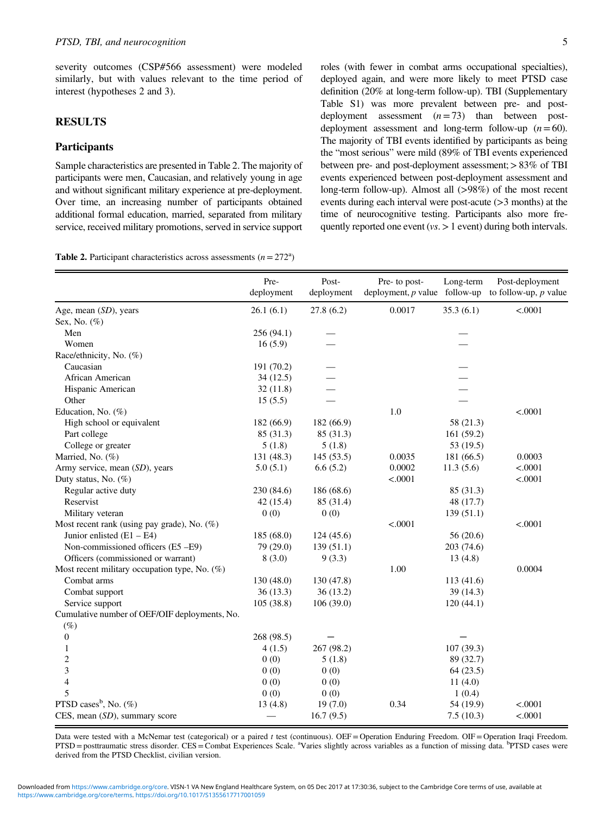severity outcomes (CSP#566 assessment) were modeled similarly, but with values relevant to the time period of interest (hypotheses 2 and 3).

# RESULTS

# **Participants**

Sample characteristics are presented in Table 2. The majority of participants were men, Caucasian, and relatively young in age and without significant military experience at pre-deployment. Over time, an increasing number of participants obtained additional formal education, married, separated from military service, received military promotions, served in service support

|  | <b>Table 2.</b> Participant characteristics across assessments $(n = 272^a)$ |  |  |
|--|------------------------------------------------------------------------------|--|--|
|  |                                                                              |  |  |

roles (with fewer in combat arms occupational specialties), deployed again, and were more likely to meet PTSD case definition (20% at long-term follow-up). TBI (Supplementary Table S1) was more prevalent between pre- and postdeployment assessment  $(n=73)$  than between postdeployment assessment and long-term follow-up  $(n=60)$ . The majority of TBI events identified by participants as being the "most serious" were mild (89% of TBI events experienced between pre- and post-deployment assessment;>83% of TBI events experienced between post-deployment assessment and long-term follow-up). Almost all (>98%) of the most recent events during each interval were post-acute (>3 months) at the time of neurocognitive testing. Participants also more frequently reported one event ( $vs.$  > 1 event) during both intervals.

|                                               | Pre-<br>deployment | Post-<br>deployment | Pre- to post-<br>deployment, $p$ value follow-up | Long-term  | Post-deployment<br>to follow-up, $p$ value |
|-----------------------------------------------|--------------------|---------------------|--------------------------------------------------|------------|--------------------------------------------|
| Age, mean $(SD)$ , years                      | 26.1(6.1)          | 27.8(6.2)           | 0.0017                                           | 35.3(6.1)  | < .0001                                    |
| Sex, No. (%)                                  |                    |                     |                                                  |            |                                            |
| Men                                           | 256(94.1)          |                     |                                                  |            |                                            |
| Women                                         | 16(5.9)            |                     |                                                  |            |                                            |
| Race/ethnicity, No. (%)                       |                    |                     |                                                  |            |                                            |
| Caucasian                                     | 191 (70.2)         |                     |                                                  |            |                                            |
| African American                              | 34(12.5)           |                     |                                                  |            |                                            |
| Hispanic American                             | 32(11.8)           |                     |                                                  |            |                                            |
| Other                                         | 15(5.5)            |                     |                                                  |            |                                            |
| Education, No. (%)                            |                    |                     | $1.0\,$                                          |            | < .0001                                    |
| High school or equivalent                     | 182 (66.9)         | 182 (66.9)          |                                                  | 58 (21.3)  |                                            |
| Part college                                  | 85 (31.3)          | 85 (31.3)           |                                                  | 161(59.2)  |                                            |
| College or greater                            | 5(1.8)             | 5(1.8)              |                                                  | 53 (19.5)  |                                            |
| Married, No. (%)                              | 131 (48.3)         | 145(53.5)           | 0.0035                                           | 181 (66.5) | 0.0003                                     |
| Army service, mean (SD), years                | 5.0(5.1)           | 6.6(5.2)            | 0.0002                                           | 11.3(5.6)  | < .0001                                    |
| Duty status, No. (%)                          |                    |                     | < .0001                                          |            | < .0001                                    |
| Regular active duty                           | 230 (84.6)         | 186 (68.6)          |                                                  | 85 (31.3)  |                                            |
| Reservist                                     | 42 (15.4)          | 85 (31.4)           |                                                  | 48 (17.7)  |                                            |
| Military veteran                              | 0(0)               | 0(0)                |                                                  | 139(51.1)  |                                            |
| Most recent rank (using pay grade), No. (%)   |                    |                     | < .0001                                          |            | < .0001                                    |
| Junior enlisted $(E1 - E4)$                   | 185 (68.0)         | 124(45.6)           |                                                  | 56 (20.6)  |                                            |
| Non-commissioned officers (E5-E9)             | 79 (29.0)          | 139(51.1)           |                                                  | 203(74.6)  |                                            |
| Officers (commissioned or warrant)            | 8(3.0)             | 9(3.3)              |                                                  | 13(4.8)    |                                            |
| Most recent military occupation type, No. (%) |                    |                     | 1.00                                             |            | 0.0004                                     |
| Combat arms                                   | 130 (48.0)         | 130 (47.8)          |                                                  | 113 (41.6) |                                            |
| Combat support                                | 36(13.3)           | 36(13.2)            |                                                  | 39 (14.3)  |                                            |
| Service support                               | 105(38.8)          | 106(39.0)           |                                                  | 120(44.1)  |                                            |
| Cumulative number of OEF/OIF deployments, No. |                    |                     |                                                  |            |                                            |
| $(\%)$                                        |                    |                     |                                                  |            |                                            |
| 0                                             | 268 (98.5)         |                     |                                                  |            |                                            |
| 1                                             | 4(1.5)             | 267 (98.2)          |                                                  | 107 (39.3) |                                            |
| $\overline{c}$                                | 0(0)               | 5(1.8)              |                                                  | 89 (32.7)  |                                            |
| $\overline{\mathbf{3}}$                       | 0(0)               | 0(0)                |                                                  | 64(23.5)   |                                            |
| $\overline{4}$                                | 0(0)               | 0(0)                |                                                  | 11(4.0)    |                                            |
| 5                                             | 0(0)               | 0(0)                |                                                  | 1(0.4)     |                                            |
| PTSD cases <sup>b</sup> , No. $(\%)$          | 13(4.8)            | 19(7.0)             | 0.34                                             | 54 (19.9)  | < .0001                                    |
| CES, mean (SD), summary score                 |                    | 16.7(9.5)           |                                                  | 7.5(10.3)  | < .0001                                    |

Data were tested with a McNemar test (categorical) or a paired t test (continuous). OEF= Operation Enduring Freedom. OIF= Operation Iraqi Freedom. PTSD = posttraumatic stress disorder. CES = Combat Experiences Scale. <sup>a</sup>Varies slightly across variables as a function of missing data. <sup>b</sup>PTSD cases were derived from the PTSD Checklist, civilian version.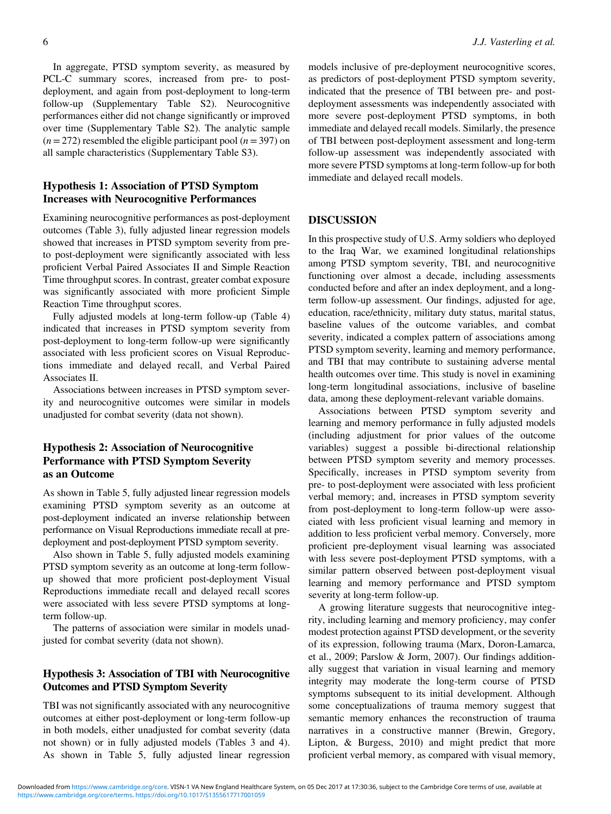In aggregate, PTSD symptom severity, as measured by PCL-C summary scores, increased from pre- to postdeployment, and again from post-deployment to long-term follow-up (Supplementary Table S2). Neurocognitive performances either did not change significantly or improved over time (Supplementary Table S2). The analytic sample  $(n= 272)$  resembled the eligible participant pool  $(n= 397)$  on all sample characteristics (Supplementary Table S3).

# Hypothesis 1: Association of PTSD Symptom Increases with Neurocognitive Performances

Examining neurocognitive performances as post-deployment outcomes [\(Table](#page-6-0) 3), fully adjusted linear regression models showed that increases in PTSD symptom severity from preto post-deployment were significantly associated with less proficient Verbal Paired Associates II and Simple Reaction Time throughput scores. In contrast, greater combat exposure was significantly associated with more proficient Simple Reaction Time throughput scores.

Fully adjusted models at long-term follow-up [\(Table](#page-7-0) 4) indicated that increases in PTSD symptom severity from post-deployment to long-term follow-up were significantly associated with less proficient scores on Visual Reproductions immediate and delayed recall, and Verbal Paired Associates II.

Associations between increases in PTSD symptom severity and neurocognitive outcomes were similar in models unadjusted for combat severity (data not shown).

# Hypothesis 2: Association of Neurocognitive Performance with PTSD Symptom Severity as an Outcome

As shown in [Table](#page-8-0) 5, fully adjusted linear regression models examining PTSD symptom severity as an outcome at post-deployment indicated an inverse relationship between performance on Visual Reproductions immediate recall at predeployment and post-deployment PTSD symptom severity.

Also shown in [Table](#page-8-0) 5, fully adjusted models examining PTSD symptom severity as an outcome at long-term followup showed that more proficient post-deployment Visual Reproductions immediate recall and delayed recall scores were associated with less severe PTSD symptoms at longterm follow-up.

The patterns of association were similar in models unadjusted for combat severity (data not shown).

# Hypothesis 3: Association of TBI with Neurocognitive Outcomes and PTSD Symptom Severity

TBI was not significantly associated with any neurocognitive outcomes at either post-deployment or long-term follow-up in both models, either unadjusted for combat severity (data not shown) or in fully adjusted models ([Tables](#page-6-0) 3 and [4](#page-7-0)). As shown in [Table](#page-8-0) 5, fully adjusted linear regression

models inclusive of pre-deployment neurocognitive scores, as predictors of post-deployment PTSD symptom severity, indicated that the presence of TBI between pre- and postdeployment assessments was independently associated with more severe post-deployment PTSD symptoms, in both immediate and delayed recall models. Similarly, the presence of TBI between post-deployment assessment and long-term follow-up assessment was independently associated with more severe PTSD symptoms at long-term follow-up for both immediate and delayed recall models.

# DISCUSSION

In this prospective study of U.S. Army soldiers who deployed to the Iraq War, we examined longitudinal relationships among PTSD symptom severity, TBI, and neurocognitive functioning over almost a decade, including assessments conducted before and after an index deployment, and a longterm follow-up assessment. Our findings, adjusted for age, education, race/ethnicity, military duty status, marital status, baseline values of the outcome variables, and combat severity, indicated a complex pattern of associations among PTSD symptom severity, learning and memory performance, and TBI that may contribute to sustaining adverse mental health outcomes over time. This study is novel in examining long-term longitudinal associations, inclusive of baseline data, among these deployment-relevant variable domains.

Associations between PTSD symptom severity and learning and memory performance in fully adjusted models (including adjustment for prior values of the outcome variables) suggest a possible bi-directional relationship between PTSD symptom severity and memory processes. Specifically, increases in PTSD symptom severity from pre- to post-deployment were associated with less proficient verbal memory; and, increases in PTSD symptom severity from post-deployment to long-term follow-up were associated with less proficient visual learning and memory in addition to less proficient verbal memory. Conversely, more proficient pre-deployment visual learning was associated with less severe post-deployment PTSD symptoms, with a similar pattern observed between post-deployment visual learning and memory performance and PTSD symptom severity at long-term follow-up.

A growing literature suggests that neurocognitive integrity, including learning and memory proficiency, may confer modest protection against PTSD development, or the severity of its expression, following trauma (Marx, Doron-Lamarca, et al., [2009](#page-11-0); Parslow & Jorm, [2007\)](#page-11-0). Our findings additionally suggest that variation in visual learning and memory integrity may moderate the long-term course of PTSD symptoms subsequent to its initial development. Although some conceptualizations of trauma memory suggest that semantic memory enhances the reconstruction of trauma narratives in a constructive manner (Brewin, Gregory, Lipton, & Burgess, [2010](#page-11-0)) and might predict that more proficient verbal memory, as compared with visual memory,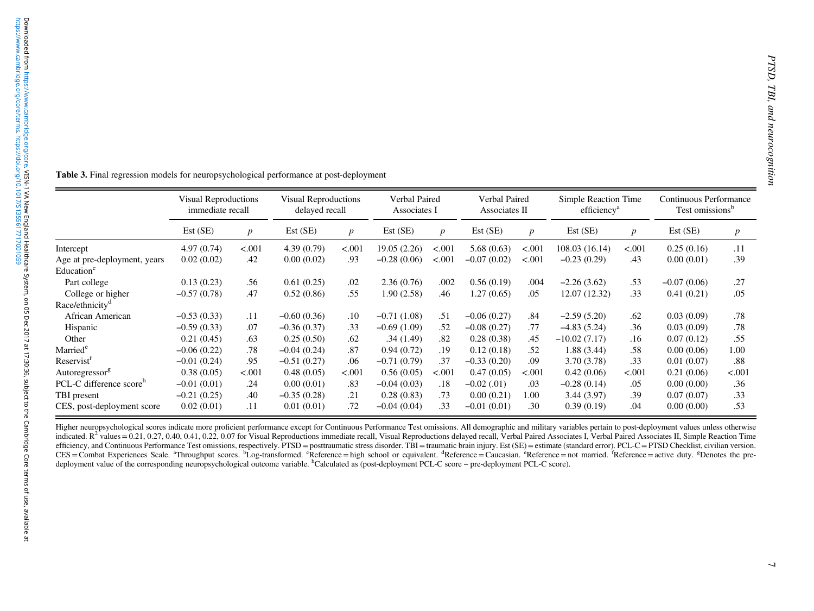<span id="page-6-0"></span>

| Table 3. Final regression models for neuropsychological performance at post-deployment |                                                 |                 |                                               |                 |                               |                 |                                |                  |                                                 |                  |                                                       |
|----------------------------------------------------------------------------------------|-------------------------------------------------|-----------------|-----------------------------------------------|-----------------|-------------------------------|-----------------|--------------------------------|------------------|-------------------------------------------------|------------------|-------------------------------------------------------|
|                                                                                        | <b>Visual Reproductions</b><br>immediate recall |                 | <b>Visual Reproductions</b><br>delayed recall |                 | Verbal Paired<br>Associates I |                 | Verbal Paired<br>Associates II |                  | Simple Reaction Time<br>efficiency <sup>a</sup> |                  | Continuous Performance<br>Test omissions <sup>b</sup> |
|                                                                                        | Est (SE)                                        | $p_{\parallel}$ | Est (SE)                                      | $p_{\parallel}$ | Est (SE)                      | $p_{\parallel}$ | Est (SE)                       | $\boldsymbol{p}$ | Est(SE)                                         | $\boldsymbol{p}$ | Est (SE)                                              |
| Intercept                                                                              | 4.97(0.74)                                      | < .001          | 4.39(0.79)                                    | < .001          | 19.05 (2.26)                  | < .001          | 5.68(0.63)                     | < .001           | 108.03 (16.14)                                  | < .001           | 0.25(0.16)                                            |
| Age at pre-deployment, years                                                           | 0.02(0.02)                                      | .42             | 0.00(0.02)                                    | .93             | $-0.28(0.06)$                 | < .001          | $-0.07(0.02)$                  | < .001           | $-0.23(0.29)$                                   | .43              | 0.00(0.01)                                            |
| Education <sup>c</sup>                                                                 |                                                 |                 |                                               |                 |                               |                 |                                |                  |                                                 |                  |                                                       |
| Part college                                                                           | 0.13(0.23)                                      | .56             | 0.61(0.25)                                    | .02             | 2.36(0.76)                    | .002            | 0.56(0.19)                     | .004             | $-2.26(3.62)$                                   | .53              | $-0.07(0.06)$                                         |
| College or higher                                                                      | $-0.57(0.78)$                                   | .47             | 0.52(0.86)                                    | .55             | 1.90(2.58)                    | .46             | 1.27(0.65)                     | .05              | 12.07(12.32)                                    | .33              | 0.41(0.21)                                            |
| Race/ethnicity <sup>d</sup>                                                            |                                                 |                 |                                               |                 |                               |                 |                                |                  |                                                 |                  |                                                       |
| African American                                                                       | $-0.53(0.33)$                                   | .11             | $-0.60(0.36)$                                 | .10             | $-0.71(1.08)$                 | .51             | $-0.06(0.27)$                  | $.84\,$          | $-2.59(5.20)$                                   | .62              | 0.03(0.09)                                            |
|                                                                                        | $-0.59(0.33)$                                   | .07             | $-0.36(0.37)$                                 | .33             | $-0.69(1.09)$                 | .52             | $-0.08(0.27)$                  | .77              | $-4.83(5.24)$                                   | .36              | 0.03(0.09)                                            |
| Hispanic                                                                               | 0.21(0.45)                                      | .63             | 0.25(0.50)                                    | .62             | .34(1.49)                     | .82             | 0.28(0.38)                     | .45              | $-10.02(7.17)$                                  | .16              | 0.07(0.12)                                            |
| Other                                                                                  |                                                 |                 | $-0.04(0.24)$                                 | $.87\,$         | 0.94(0.72)                    | .19             | 0.12(0.18)                     | .52              | 1.88(3.44)                                      | .58              | 0.00(0.06)                                            |
| Married <sup>e</sup>                                                                   | $-0.06(0.22)$                                   | $.78\,$         |                                               |                 |                               | .37             | $-0.33(0.20)$                  | .09              | 3.70(3.78)                                      | .33              | 0.01(0.07)                                            |
| Reservist <sup>f</sup>                                                                 | $-0.01(0.24)$                                   | .95             | $-0.51(0.27)$                                 | .06             | $-0.71(0.79)$                 |                 |                                |                  |                                                 |                  |                                                       |
|                                                                                        | 0.38(0.05)                                      | < .001          | 0.48(0.05)                                    | < .001          | 0.56(0.05)                    | < .001          | 0.47(0.05)                     | < .001           | 0.42(0.06)                                      | < .001           | 0.21(0.06)                                            |
| Autoregressor <sup>g</sup><br>PCL-C difference score <sup>h</sup>                      | $-0.01(0.01)$                                   | .24             | 0.00(0.01)                                    | .83             | $-0.04(0.03)$                 | .18             | $-0.02$ (.01)                  | .03              | $-0.28(0.14)$                                   | .05              | 0.00(0.00)                                            |
| TBI present<br>CES, post-deployment score                                              | $-0.21(0.25)$<br>0.02(0.01)                     | .40<br>.11      | $-0.35(0.28)$<br>0.01(0.01)                   | .21<br>.72      | 0.28(0.83)<br>$-0.04(0.04)$   | .73<br>.33      | 0.00(0.21)<br>$-0.01(0.01)$    | 1.00<br>.30      | 3.44 (3.97)<br>0.39(0.19)                       | .39<br>.04       | 0.07(0.07)<br>0.00(0.00)                              |

Higher neuropsychological scores indicate more proficient performance excep<sup>t</sup> for Continuous Performance Test omissions. All demographic and military variables pertain to post-deployment values unless otherwise indicated.  $R^2$  values = 0.21, 0.27, 0.40, 0.41, 0.22, 0.07 for Visual Reproductions immediate recall, Visual Reproductions delayed recall, Verbal Paired Associates I, Verbal Paired Associates II, Simple Reaction Time efficiency, and Continuous Performance Test omissions, respectively. PTSD = posttraumatic stress disorder. TBI = traumatic brain injury. Est (SE) = estimate (standard error). PCL-C = PTSD Checklist, civilian version. CES = Combat Experiences Scale. "Throughput scores. <sup>b</sup>Log-transformed. "Reference = high school or equivalent. "Reference = Caucasian. "Reference = not married. "Reference = active duty. <sup>g</sup>Denotes the predeployment value of the corresponding neuropsychological outcome variable. <sup>h</sup>Calculated as (post-deployment PCL-C score – pre-deployment PCL-C score).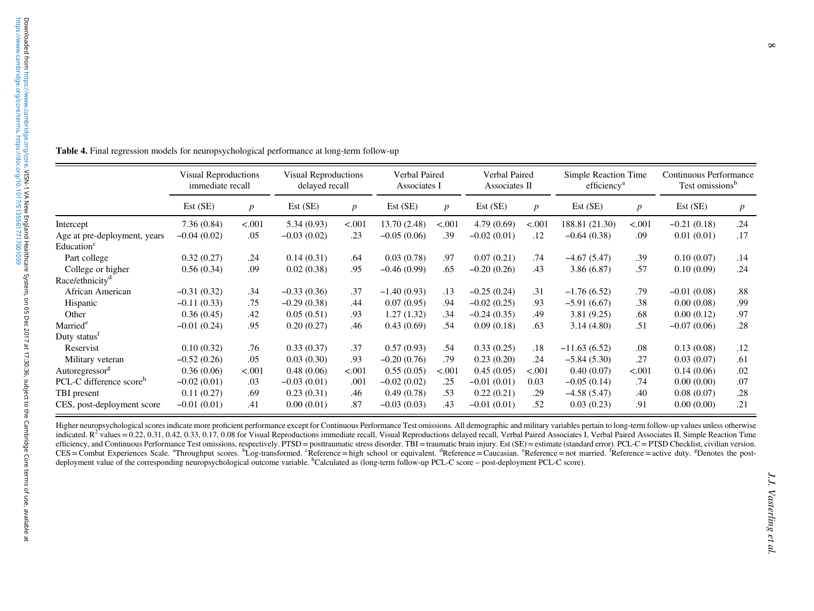<span id="page-7-0"></span>

| Table 4. Final regression models for neuropsychological performance at long-term follow-up |                      |                  |                      |                  |               |                  |               |                  |                         |                  |                             |  |
|--------------------------------------------------------------------------------------------|----------------------|------------------|----------------------|------------------|---------------|------------------|---------------|------------------|-------------------------|------------------|-----------------------------|--|
|                                                                                            |                      |                  |                      |                  |               |                  |               |                  |                         |                  |                             |  |
|                                                                                            |                      |                  |                      |                  |               |                  |               |                  |                         |                  |                             |  |
|                                                                                            |                      |                  |                      |                  |               |                  |               |                  |                         |                  |                             |  |
|                                                                                            |                      |                  |                      |                  |               |                  |               |                  |                         |                  |                             |  |
|                                                                                            |                      |                  |                      |                  |               |                  |               |                  |                         |                  |                             |  |
|                                                                                            | Visual Reproductions |                  | Visual Reproductions |                  | Verbal Paired |                  | Verbal Paired |                  | Simple Reaction Time    |                  | Continuous Performance      |  |
|                                                                                            | immediate recall     |                  | delayed recall       |                  | Associates I  |                  | Associates II |                  | efficiency <sup>a</sup> |                  | Test omissions <sup>b</sup> |  |
|                                                                                            | Est (SE)             | $\boldsymbol{p}$ | Est (SE)             | $\boldsymbol{p}$ | Est (SE)      | $\boldsymbol{p}$ | Est (SE)      | $\boldsymbol{p}$ | Est (SE)                | $\boldsymbol{p}$ | Est(SE)                     |  |
| Intercept                                                                                  | 7.36(0.84)           | < .001           | 5.34(0.93)           | < .001           | 13.70 (2.48)  | < .001           | 4.79(0.69)    | < .001           | 188.81 (21.30)          | < .001           | $-0.21(0.18)$               |  |
| Age at pre-deployment, years                                                               | $-0.04(0.02)$        | .05              | $-0.03(0.02)$        | .23              | $-0.05(0.06)$ | .39              | $-0.02(0.01)$ | .12              | $-0.64(0.38)$           | .09              | 0.01(0.01)                  |  |
| Education <sup>c</sup>                                                                     |                      |                  |                      |                  |               |                  |               |                  |                         |                  |                             |  |
| Part college                                                                               | 0.32(0.27)           | .24              | 0.14(0.31)           | .64              | 0.03(0.78)    | .97              | 0.07(0.21)    | .74              | $-4.67(5.47)$           | .39              | 0.10(0.07)                  |  |
| College or higher                                                                          | 0.56(0.34)           | .09              | 0.02(0.38)           | .95              | $-0.46(0.99)$ | .65              | $-0.20(0.26)$ | .43              | 3.86(6.87)              | .57              | 0.10(0.09)                  |  |
| Race/ethnicity <sup>d</sup>                                                                |                      |                  |                      |                  |               |                  |               |                  |                         |                  |                             |  |
| African American                                                                           | $-0.31(0.32)$        | .34              | $-0.33(0.36)$        | .37              | $-1.40(0.93)$ | .13              | $-0.25(0.24)$ | .31              | $-1.76(6.52)$           | .79              | $-0.01(0.08)$               |  |
| Hispanic                                                                                   | $-0.11(0.33)$        | .75              | $-0.29(0.38)$        | .44              | 0.07(0.95)    | .94              | $-0.02(0.25)$ | .93              | $-5.91(6.67)$           | .38              | 0.00(0.08)                  |  |
| Other                                                                                      | 0.36(0.45)           | .42              | 0.05(0.51)           | .93              | 1.27(1.32)    | .34              | $-0.24(0.35)$ | .49              | 3.81(9.25)              | .68              | 0.00(0.12)                  |  |
| Married <sup>e</sup>                                                                       | $-0.01(0.24)$        | .95              | 0.20(0.27)           | .46              | 0.43(0.69)    | .54              | 0.09(0.18)    | .63              | 3.14(4.80)              | .51              | $-0.07(0.06)$               |  |
| Duty status <sup>f</sup>                                                                   |                      |                  |                      |                  |               |                  |               |                  |                         |                  |                             |  |
| Reservist                                                                                  | 0.10(0.32)           | .76              | 0.33(0.37)           | .37              | 0.57(0.93)    | .54              | 0.33(0.25)    | .18              | $-11.63(6.52)$          | .08              | 0.13(0.08)                  |  |
| Military veteran                                                                           | $-0.52(0.26)$        | .05              | 0.03(0.30)           | .93              | $-0.20(0.76)$ | .79              | 0.23(0.20)    | .24              | $-5.84(5.30)$           | .27              | 0.03(0.07)                  |  |
| Autoregressor <sup>g</sup>                                                                 | 0.36(0.06)           | < .001           | 0.48(0.06)           | < .001           | 0.55(0.05)    | < .001           | 0.45(0.05)    | < .001           | 0.40(0.07)              | < .001           | 0.14(0.06)                  |  |
| PCL-C difference score <sup>h</sup>                                                        | $-0.02(0.01)$        | .03              | $-0.03(0.01)$        | .001             | $-0.02(0.02)$ | .25              | $-0.01(0.01)$ | 0.03             | $-0.05(0.14)$           | .74              | 0.00(0.00)                  |  |
|                                                                                            | 0.11(0.27)           | .69              | 0.23(0.31)           | .46              | 0.49(0.78)    | .53              | 0.22(0.21)    | .29              | $-4.58(5.47)$           | .40              | 0.08(0.07)                  |  |
| TBI present                                                                                | $-0.01(0.01)$        | .41              | 0.00(0.01)           | .87              | $-0.03(0.03)$ | .43              | $-0.01(0.01)$ | .52              | 0.03(0.23)              | .91              | 0.00(0.00)                  |  |

Higher neuropsychological scores indicate more proficient performance excep<sup>t</sup> for Continuous Performance Test omissions. All demographic and military variables pertain to long-term follow-up values unless otherwise indicated.  $R^2$  values = 0.22, 0.31, 0.42, 0.33, 0.17, 0.08 for Visual Reproductions immediate recall, Visual Reproductions delayed recall, Verbal Paired Associates I, Verbal Paired Associates II, Simple Reaction Time efficiency, and Continuous Performance Test omissions, respectively. PTSD = posttraumatic stress disorder. TBI = traumatic brain injury. Est (SE) = estimate (standard error). PCL-C = PTSD Checklist, civilian version. CES = Combat Experiences Scale. "Throughput scores. "Log-transformed. "Reference = high school or equivalent. "Reference = Caucasian. "Reference = not married. "Reference = active duty. <sup>g</sup>Denotes the postdeployment value of the corresponding neuropsychological outcome variable. <sup>h</sup>Calculated as (long-term follow-up PCL-C score – post-deployment PCL-C score).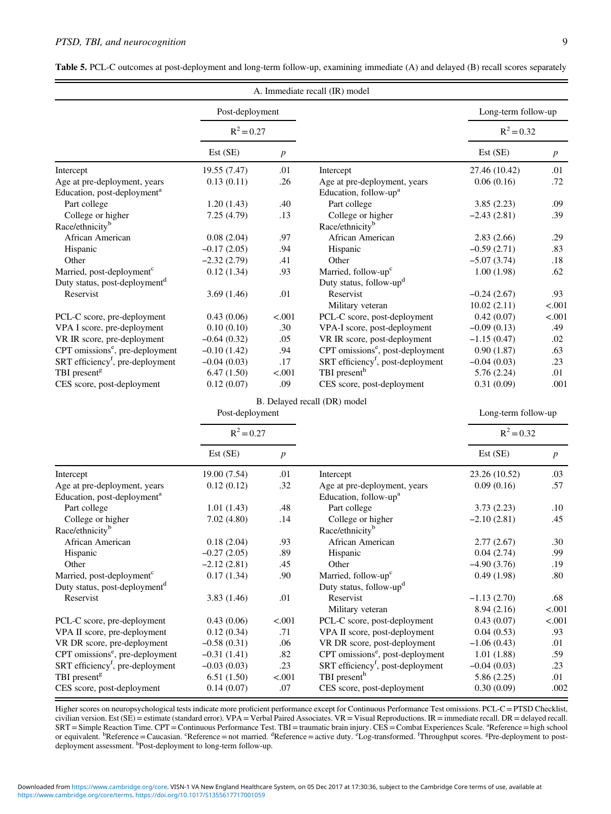|                                                                         |                 |                  | A. Immediate recall (IR) model                                    |                              |                 |
|-------------------------------------------------------------------------|-----------------|------------------|-------------------------------------------------------------------|------------------------------|-----------------|
|                                                                         | Post-deployment |                  |                                                                   | Long-term follow-up          |                 |
|                                                                         | $R^2 = 0.27$    |                  |                                                                   | $R^2 = 0.32$                 |                 |
|                                                                         | Est(SE)         | $\boldsymbol{p}$ |                                                                   | Est(SE)                      | $p_{\parallel}$ |
| Intercept                                                               | 19.55 (7.47)    | .01              | Intercept                                                         | 27.46 (10.42)                | .01             |
| Age at pre-deployment, years<br>Education, post-deployment <sup>a</sup> | 0.13(0.11)      | .26              | Age at pre-deployment, years<br>Education, follow-up <sup>a</sup> | 0.06(0.16)                   | .72             |
| Part college                                                            | 1.20(1.43)      | .40              | Part college                                                      | 3.85(2.23)                   | .09             |
| College or higher<br>Race/ethnicity <sup>b</sup>                        | 7.25(4.79)      | .13              | College or higher<br>Race/ethnicity <sup>b</sup>                  | $-2.43(2.81)$                | .39             |
| African American                                                        | 0.08(2.04)      | .97              | African American                                                  | 2.83(2.66)                   | .29             |
| Hispanic                                                                | $-0.17(2.05)$   | .94              | Hispanic                                                          | $-0.59(2.71)$                | .83             |
| Other                                                                   | $-2.32(2.79)$   | .41              | Other                                                             | $-5.07(3.74)$                | .18             |
| Married, post-deployment <sup>c</sup>                                   | 0.12(1.34)      | .93              | Married, follow-up <sup>c</sup>                                   | 1.00(1.98)                   | .62             |
| Duty status, post-deployment <sup>d</sup>                               |                 |                  | Duty status, follow-up <sup>d</sup>                               |                              |                 |
| Reservist                                                               | 3.69(1.46)      | .01              | Reservist<br>Military veteran                                     | $-0.24(2.67)$<br>10.02(2.11) | .93<br>< .001   |
| PCL-C score, pre-deployment                                             | 0.43(0.06)      | < .001           | PCL-C score, post-deployment                                      | 0.42(0.07)                   | < .001          |
| VPA I score, pre-deployment                                             | 0.10(0.10)      | .30              | VPA-I score, post-deployment                                      | $-0.09(0.13)$                | .49             |
| VR IR score, pre-deployment                                             | $-0.64(0.32)$   | .05              | VR IR score, post-deployment                                      | $-1.15(0.47)$                | .02             |
| CPT omissions <sup>e</sup> , pre-deployment                             | $-0.10(1.42)$   | .94              | CPT omissions <sup>e</sup> , post-deployment                      | 0.90(1.87)                   | .63             |
| SRT efficiency <sup>f</sup> , pre-deployment                            | $-0.04(0.03)$   | .17              | SRT efficiency <sup>f</sup> , post-deployment                     | $-0.04(0.03)$                | .23             |
| TBI present <sup>g</sup>                                                | 6.47(1.50)      | < .001           | TBI present <sup>h</sup>                                          | 5.76(2.24)                   | .01             |
| CES score, post-deployment                                              | 0.12(0.07)      | .09              | CES score, post-deployment                                        | 0.31(0.09)                   | .001            |
|                                                                         |                 |                  | B. Delayed recall (DR) model                                      |                              |                 |
|                                                                         | Post-deployment |                  |                                                                   | Long-term follow-up          |                 |

<span id="page-8-0"></span>

| <b>Table 5.</b> PCL-C outcomes at post-deployment and long-term follow-up, examining immediate (A) and delayed (B) recall scores separately |  |  |  |
|---------------------------------------------------------------------------------------------------------------------------------------------|--|--|--|
|                                                                                                                                             |  |  |  |

|                                              | $R^2 = 0.27$  |                  |                                               | $R^2 = 0.32$  |                  |  |
|----------------------------------------------|---------------|------------------|-----------------------------------------------|---------------|------------------|--|
|                                              | Est (SE)      | $\boldsymbol{p}$ |                                               | Est (SE)      | $\boldsymbol{p}$ |  |
| Intercept                                    | 19.00 (7.54)  | .01              | Intercept                                     | 23.26 (10.52) | .03              |  |
| Age at pre-deployment, years                 | 0.12(0.12)    | .32              | Age at pre-deployment, years                  | 0.09(0.16)    | .57              |  |
| Education, post-deployment <sup>a</sup>      |               |                  | Education, follow-up <sup>a</sup>             |               |                  |  |
| Part college                                 | 1.01(1.43)    | .48              | Part college                                  | 3.73(2.23)    | .10              |  |
| College or higher                            | 7.02(4.80)    | .14              | College or higher                             | $-2.10(2.81)$ | .45              |  |
| Race/ethnicity <sup>b</sup>                  |               |                  | Race/ethnicity <sup>b</sup>                   |               |                  |  |
| African American                             | 0.18(2.04)    | .93              | African American                              | 2.77(2.67)    | .30              |  |
| Hispanic                                     | $-0.27(2.05)$ | .89              | Hispanic                                      | 0.04(2.74)    | .99              |  |
| Other                                        | $-2.12(2.81)$ | .45              | Other                                         | $-4.90(3.76)$ | .19              |  |
| Married, post-deployment <sup>c</sup>        | 0.17(1.34)    | .90              | Married, follow-up <sup>c</sup>               | 0.49(1.98)    | $.80\,$          |  |
| Duty status, post-deployment <sup>d</sup>    |               |                  | Duty status, follow-up <sup>d</sup>           |               |                  |  |
| Reservist                                    | 3.83(1.46)    | .01              | Reservist                                     | $-1.13(2.70)$ | .68              |  |
|                                              |               |                  | Military veteran                              | 8.94(2.16)    | < .001           |  |
| PCL-C score, pre-deployment                  | 0.43(0.06)    | < .001           | PCL-C score, post-deployment                  | 0.43(0.07)    | < .001           |  |
| VPA II score, pre-deployment                 | 0.12(0.34)    | .71              | VPA II score, post-deployment                 | 0.04(0.53)    | .93              |  |
| VR DR score, pre-deployment                  | $-0.58(0.31)$ | .06              | VR DR score, post-deployment                  | $-1.06(0.43)$ | .01              |  |
| CPT omissions <sup>e</sup> , pre-deployment  | $-0.31(1.41)$ | .82              | CPT omissions <sup>e</sup> , post-deployment  | 1.01(1.88)    | .59              |  |
| SRT efficiency <sup>f</sup> , pre-deployment | $-0.03(0.03)$ | .23              | SRT efficiency <sup>f</sup> , post-deployment | $-0.04(0.03)$ | .23              |  |
| TBI present <sup>g</sup>                     | 6.51(1.50)    | < .001           | TBI present <sup>h</sup>                      | 5.86(2.25)    | .01              |  |
| CES score, post-deployment                   | 0.14(0.07)    | .07              | CES score, post-deployment                    | 0.30(0.09)    | .002             |  |

Higher scores on neuropsychological tests indicate more proficient performance except for Continuous Performance Test omissions. PCL-C=PTSD Checklist, civilian version. Est (SE)=estimate (standard error). VPA = Verbal Paired Associates. VR= Visual Reproductions. IR=immediate recall. DR=delayed recall. SRT = Simple Reaction Time. CPT = Continuous Performance Test. TBI = traumatic brain injury. CES = Combat Experiences Scale. <sup>a</sup>Reference = high school<br>or equivalent. <sup>b</sup>Reference = Caucasian. <sup>c</sup>Reference = not married. <sup></sup>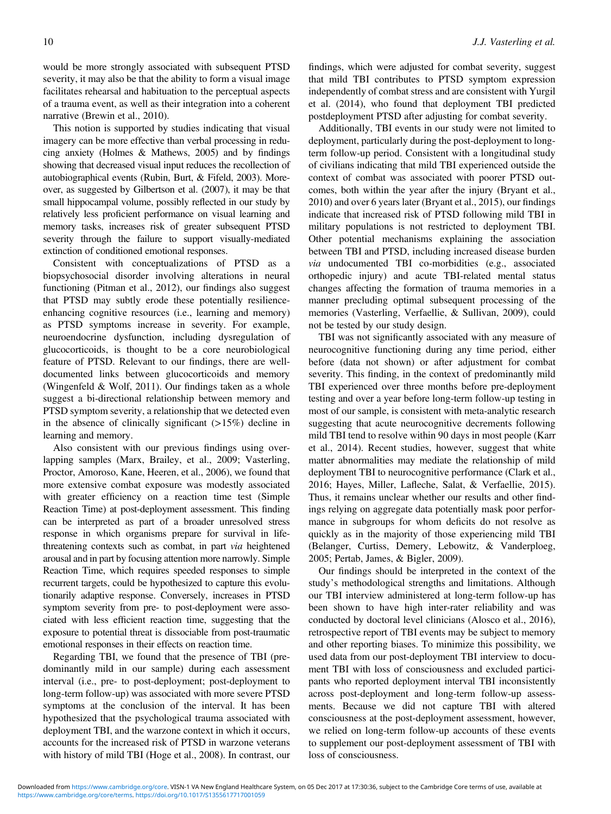would be more strongly associated with subsequent PTSD severity, it may also be that the ability to form a visual image facilitates rehearsal and habituation to the perceptual aspects of a trauma event, as well as their integration into a coherent narrative (Brewin et al., [2010\)](#page-11-0).

This notion is supported by studies indicating that visual imagery can be more effective than verbal processing in reducing anxiety (Holmes & Mathews, [2005](#page-11-0)) and by findings showing that decreased visual input reduces the recollection of autobiographical events (Rubin, Burt, & Fifeld, [2003](#page-11-0)). Moreover, as suggested by Gilbertson et al. ([2007](#page-11-0)), it may be that small hippocampal volume, possibly reflected in our study by relatively less proficient performance on visual learning and memory tasks, increases risk of greater subsequent PTSD severity through the failure to support visually-mediated extinction of conditioned emotional responses.

Consistent with conceptualizations of PTSD as a biopsychosocial disorder involving alterations in neural functioning (Pitman et al., [2012\)](#page-11-0), our findings also suggest that PTSD may subtly erode these potentially resilienceenhancing cognitive resources (i.e., learning and memory) as PTSD symptoms increase in severity. For example, neuroendocrine dysfunction, including dysregulation of glucocorticoids, is thought to be a core neurobiological feature of PTSD. Relevant to our findings, there are welldocumented links between glucocorticoids and memory (Wingenfeld & Wolf, [2011\)](#page-12-0). Our findings taken as a whole suggest a bi-directional relationship between memory and PTSD symptom severity, a relationship that we detected even in the absence of clinically significant  $(>15%)$  decline in learning and memory.

Also consistent with our previous findings using overlapping samples (Marx, Brailey, et al., [2009;](#page-11-0) Vasterling, Proctor, Amoroso, Kane, Heeren, et al., [2006\)](#page-12-0), we found that more extensive combat exposure was modestly associated with greater efficiency on a reaction time test (Simple Reaction Time) at post-deployment assessment. This finding can be interpreted as part of a broader unresolved stress response in which organisms prepare for survival in lifethreatening contexts such as combat, in part via heightened arousal and in part by focusing attention more narrowly. Simple Reaction Time, which requires speeded responses to simple recurrent targets, could be hypothesized to capture this evolutionarily adaptive response. Conversely, increases in PTSD symptom severity from pre- to post-deployment were associated with less efficient reaction time, suggesting that the exposure to potential threat is dissociable from post-traumatic emotional responses in their effects on reaction time.

Regarding TBI, we found that the presence of TBI (predominantly mild in our sample) during each assessment interval (i.e., pre- to post-deployment; post-deployment to long-term follow-up) was associated with more severe PTSD symptoms at the conclusion of the interval. It has been hypothesized that the psychological trauma associated with deployment TBI, and the warzone context in which it occurs, accounts for the increased risk of PTSD in warzone veterans with history of mild TBI (Hoge et al., [2008](#page-11-0)). In contrast, our

findings, which were adjusted for combat severity, suggest that mild TBI contributes to PTSD symptom expression independently of combat stress and are consistent with Yurgil et al. ([2014\)](#page-12-0), who found that deployment TBI predicted postdeployment PTSD after adjusting for combat severity.

Additionally, TBI events in our study were not limited to deployment, particularly during the post-deployment to longterm follow-up period. Consistent with a longitudinal study of civilians indicating that mild TBI experienced outside the context of combat was associated with poorer PTSD outcomes, both within the year after the injury (Bryant et al., [2010\)](#page-11-0) and over 6 years later (Bryant et al., [2015](#page-11-0)), our findings indicate that increased risk of PTSD following mild TBI in military populations is not restricted to deployment TBI. Other potential mechanisms explaining the association between TBI and PTSD, including increased disease burden via undocumented TBI co-morbidities (e.g., associated orthopedic injury) and acute TBI-related mental status changes affecting the formation of trauma memories in a manner precluding optimal subsequent processing of the memories (Vasterling, Verfaellie, & Sullivan, [2009\)](#page-12-0), could not be tested by our study design.

TBI was not significantly associated with any measure of neurocognitive functioning during any time period, either before (data not shown) or after adjustment for combat severity. This finding, in the context of predominantly mild TBI experienced over three months before pre-deployment testing and over a year before long-term follow-up testing in most of our sample, is consistent with meta-analytic research suggesting that acute neurocognitive decrements following mild TBI tend to resolve within 90 days in most people (Karr et al., [2014\)](#page-11-0). Recent studies, however, suggest that white matter abnormalities may mediate the relationship of mild deployment TBI to neurocognitive performance (Clark et al., [2016;](#page-11-0) Hayes, Miller, Lafleche, Salat, & Verfaellie, [2015](#page-11-0)). Thus, it remains unclear whether our results and other findings relying on aggregate data potentially mask poor performance in subgroups for whom deficits do not resolve as quickly as in the majority of those experiencing mild TBI (Belanger, Curtiss, Demery, Lebowitz, & Vanderploeg, [2005;](#page-11-0) Pertab, James, & Bigler, [2009](#page-11-0)).

Our findings should be interpreted in the context of the study's methodological strengths and limitations. Although our TBI interview administered at long-term follow-up has been shown to have high inter-rater reliability and was conducted by doctoral level clinicians (Alosco et al., [2016](#page-10-0)), retrospective report of TBI events may be subject to memory and other reporting biases. To minimize this possibility, we used data from our post-deployment TBI interview to document TBI with loss of consciousness and excluded participants who reported deployment interval TBI inconsistently across post-deployment and long-term follow-up assessments. Because we did not capture TBI with altered consciousness at the post-deployment assessment, however, we relied on long-term follow-up accounts of these events to supplement our post-deployment assessment of TBI with loss of consciousness.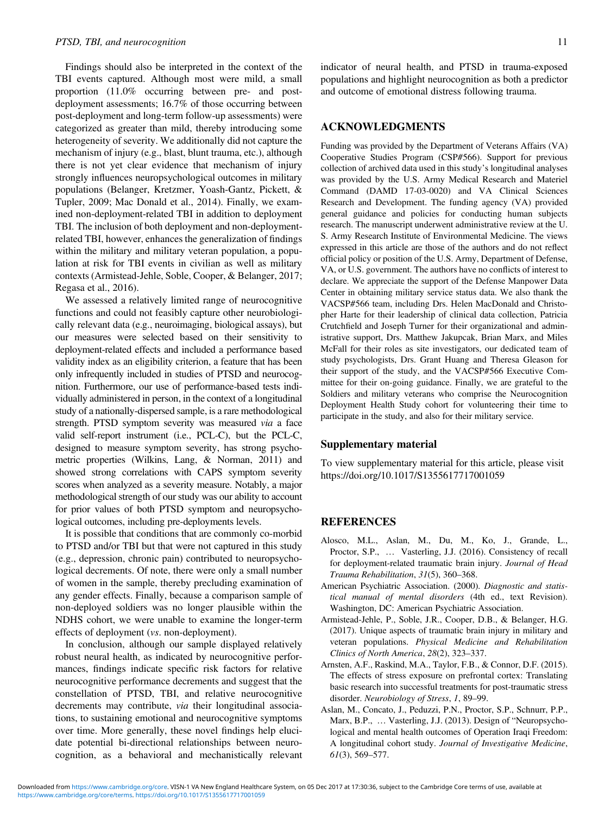<span id="page-10-0"></span>Findings should also be interpreted in the context of the TBI events captured. Although most were mild, a small proportion (11.0% occurring between pre- and postdeployment assessments; 16.7% of those occurring between post-deployment and long-term follow-up assessments) were categorized as greater than mild, thereby introducing some heterogeneity of severity. We additionally did not capture the mechanism of injury (e.g., blast, blunt trauma, etc.), although there is not yet clear evidence that mechanism of injury strongly influences neuropsychological outcomes in military populations (Belanger, Kretzmer, Yoash-Gantz, Pickett, & Tupler, [2009;](#page-11-0) Mac Donald et al., [2014](#page-11-0)). Finally, we examined non-deployment-related TBI in addition to deployment TBI. The inclusion of both deployment and non-deploymentrelated TBI, however, enhances the generalization of findings within the military and military veteran population, a population at risk for TBI events in civilian as well as military contexts (Armistead-Jehle, Soble, Cooper, & Belanger, 2017; Regasa et al., [2016\)](#page-11-0).

We assessed a relatively limited range of neurocognitive functions and could not feasibly capture other neurobiologically relevant data (e.g., neuroimaging, biological assays), but our measures were selected based on their sensitivity to deployment-related effects and included a performance based validity index as an eligibility criterion, a feature that has been only infrequently included in studies of PTSD and neurocognition. Furthermore, our use of performance-based tests individually administered in person, in the context of a longitudinal study of a nationally-dispersed sample, is a rare methodological strength. PTSD symptom severity was measured via a face valid self-report instrument (i.e., PCL-C), but the PCL-C, designed to measure symptom severity, has strong psychometric properties (Wilkins, Lang, & Norman, [2011\)](#page-12-0) and showed strong correlations with CAPS symptom severity scores when analyzed as a severity measure. Notably, a major methodological strength of ourstudy was our ability to account for prior values of both PTSD symptom and neuropsychological outcomes, including pre-deployments levels.

It is possible that conditions that are commonly co-morbid to PTSD and/or TBI but that were not captured in this study (e.g., depression, chronic pain) contributed to neuropsychological decrements. Of note, there were only a small number of women in the sample, thereby precluding examination of any gender effects. Finally, because a comparison sample of non-deployed soldiers was no longer plausible within the NDHS cohort, we were unable to examine the longer-term effects of deployment (vs. non-deployment).

In conclusion, although our sample displayed relatively robust neural health, as indicated by neurocognitive performances, findings indicate specific risk factors for relative neurocognitive performance decrements and suggest that the constellation of PTSD, TBI, and relative neurocognitive decrements may contribute, via their longitudinal associations, to sustaining emotional and neurocognitive symptoms over time. More generally, these novel findings help elucidate potential bi-directional relationships between neurocognition, as a behavioral and mechanistically relevant indicator of neural health, and PTSD in trauma-exposed populations and highlight neurocognition as both a predictor and outcome of emotional distress following trauma.

#### ACKNOWLEDGMENTS

Funding was provided by the Department of Veterans Affairs (VA) Cooperative Studies Program (CSP#566). Support for previous collection of archived data used in this study's longitudinal analyses was provided by the U.S. Army Medical Research and Materiel Command (DAMD 17-03-0020) and VA Clinical Sciences Research and Development. The funding agency (VA) provided general guidance and policies for conducting human subjects research. The manuscript underwent administrative review at the U. S. Army Research Institute of Environmental Medicine. The views expressed in this article are those of the authors and do not reflect official policy or position of the U.S. Army, Department of Defense, VA, or U.S. government. The authors have no conflicts of interest to declare. We appreciate the support of the Defense Manpower Data Center in obtaining military service status data. We also thank the VACSP#566 team, including Drs. Helen MacDonald and Christopher Harte for their leadership of clinical data collection, Patricia Crutchfield and Joseph Turner for their organizational and administrative support, Drs. Matthew Jakupcak, Brian Marx, and Miles McFall for their roles as site investigators, our dedicated team of study psychologists, Drs. Grant Huang and Theresa Gleason for their support of the study, and the VACSP#566 Executive Committee for their on-going guidance. Finally, we are grateful to the Soldiers and military veterans who comprise the Neurocognition Deployment Health Study cohort for volunteering their time to participate in the study, and also for their military service.

#### Supplementary material

To view supplementary material for this article, please visit <https://doi.org/10.1017/S1355617717001059>

# **REFERENCES**

- Alosco, M.L., Aslan, M., Du, M., Ko, J., Grande, L., Proctor, S.P., … Vasterling, J.J. (2016). Consistency of recall for deployment-related traumatic brain injury. Journal of Head Trauma Rehabilitation, 31(5), 360–368.
- American Psychiatric Association. (2000). Diagnostic and statistical manual of mental disorders (4th ed., text Revision). Washington, DC: American Psychiatric Association.
- Armistead-Jehle, P., Soble, J.R., Cooper, D.B., & Belanger, H.G. (2017). Unique aspects of traumatic brain injury in military and veteran populations. Physical Medicine and Rehabilitation Clinics of North America, 28(2), 323–337.
- Arnsten, A.F., Raskind, M.A., Taylor, F.B., & Connor, D.F. (2015). The effects of stress exposure on prefrontal cortex: Translating basic research into successful treatments for post-traumatic stress disorder. Neurobiology of Stress, 1, 89-99.
- Aslan, M., Concato, J., Peduzzi, P.N., Proctor, S.P., Schnurr, P.P., Marx, B.P., … Vasterling, J.J. (2013). Design of "Neuropsychological and mental health outcomes of Operation Iraqi Freedom: A longitudinal cohort study. Journal of Investigative Medicine, 61(3), 569–577.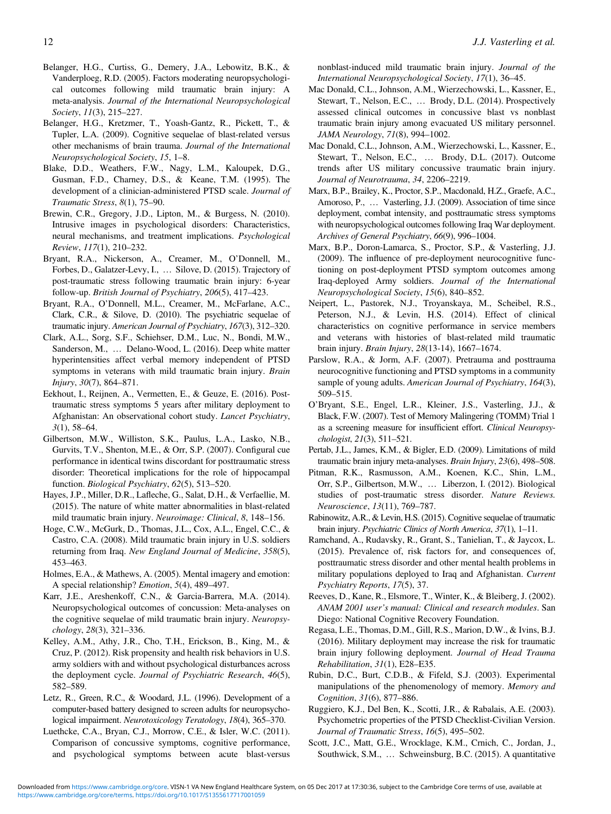- <span id="page-11-0"></span>Belanger, H.G., Curtiss, G., Demery, J.A., Lebowitz, B.K., & Vanderploeg, R.D. (2005). Factors moderating neuropsychological outcomes following mild traumatic brain injury: A meta-analysis. Journal of the International Neuropsychological Society, 11(3), 215–227.
- Belanger, H.G., Kretzmer, T., Yoash-Gantz, R., Pickett, T., & Tupler, L.A. (2009). Cognitive sequelae of blast-related versus other mechanisms of brain trauma. Journal of the International Neuropsychological Society, 15, 1–8.
- Blake, D.D., Weathers, F.W., Nagy, L.M., Kaloupek, D.G., Gusman, F.D., Charney, D.S., & Keane, T.M. (1995). The development of a clinician-administered PTSD scale. Journal of Traumatic Stress, 8(1), 75–90.
- Brewin, C.R., Gregory, J.D., Lipton, M., & Burgess, N. (2010). Intrusive images in psychological disorders: Characteristics, neural mechanisms, and treatment implications. Psychological Review, 117(1), 210–232.
- Bryant, R.A., Nickerson, A., Creamer, M., O'Donnell, M., Forbes, D., Galatzer-Levy, I., … Silove, D. (2015). Trajectory of post-traumatic stress following traumatic brain injury: 6-year follow-up. British Journal of Psychiatry, 206(5), 417–423.
- Bryant, R.A., O'Donnell, M.L., Creamer, M., McFarlane, A.C., Clark, C.R., & Silove, D. (2010). The psychiatric sequelae of traumatic injury. American Journal of Psychiatry, 167(3), 312–320.
- Clark, A.L., Sorg, S.F., Schiehser, D.M., Luc, N., Bondi, M.W., Sanderson, M., … Delano-Wood, L. (2016). Deep white matter hyperintensities affect verbal memory independent of PTSD symptoms in veterans with mild traumatic brain injury. Brain Injury, 30(7), 864–871.
- Eekhout, I., Reijnen, A., Vermetten, E., & Geuze, E. (2016). Posttraumatic stress symptoms 5 years after military deployment to Afghanistan: An observational cohort study. Lancet Psychiatry,  $3(1)$ , 58–64.
- Gilbertson, M.W., Williston, S.K., Paulus, L.A., Lasko, N.B., Gurvits, T.V., Shenton, M.E., & Orr, S.P. (2007). Configural cue performance in identical twins discordant for posttraumatic stress disorder: Theoretical implications for the role of hippocampal function. Biological Psychiatry, 62(5), 513–520.
- Hayes, J.P., Miller, D.R., Lafleche, G., Salat, D.H., & Verfaellie, M. (2015). The nature of white matter abnormalities in blast-related mild traumatic brain injury. Neuroimage: Clinical, 8, 148–156.
- Hoge, C.W., McGurk, D., Thomas, J.L., Cox, A.L., Engel, C.C., & Castro, C.A. (2008). Mild traumatic brain injury in U.S. soldiers returning from Iraq. New England Journal of Medicine, 358(5), 453–463.
- Holmes, E.A., & Mathews, A. (2005). Mental imagery and emotion: A special relationship? Emotion, 5(4), 489–497.
- Karr, J.E., Areshenkoff, C.N., & Garcia-Barrera, M.A. (2014). Neuropsychological outcomes of concussion: Meta-analyses on the cognitive sequelae of mild traumatic brain injury. Neuropsychology, 28(3), 321–336.
- Kelley, A.M., Athy, J.R., Cho, T.H., Erickson, B., King, M., & Cruz, P. (2012). Risk propensity and health risk behaviors in U.S. army soldiers with and without psychological disturbances across the deployment cycle. Journal of Psychiatric Research, 46(5), 582–589.
- Letz, R., Green, R.C., & Woodard, J.L. (1996). Development of a computer-based battery designed to screen adults for neuropsychological impairment. Neurotoxicology Teratology, 18(4), 365–370.
- Luethcke, C.A., Bryan, C.J., Morrow, C.E., & Isler, W.C. (2011). Comparison of concussive symptoms, cognitive performance, and psychological symptoms between acute blast-versus

nonblast-induced mild traumatic brain injury. Journal of the International Neuropsychological Society, 17(1), 36–45.

- Mac Donald, C.L., Johnson, A.M., Wierzechowski, L., Kassner, E., Stewart, T., Nelson, E.C., … Brody, D.L. (2014). Prospectively assessed clinical outcomes in concussive blast vs nonblast traumatic brain injury among evacuated US military personnel. JAMA Neurology, 71(8), 994–1002.
- Mac Donald, C.L., Johnson, A.M., Wierzechowski, L., Kassner, E., Stewart, T., Nelson, E.C., … Brody, D.L. (2017). Outcome trends after US military concussive traumatic brain injury. Journal of Neurotrauma, 34, 2206–2219.
- Marx, B.P., Brailey, K., Proctor, S.P., Macdonald, H.Z., Graefe, A.C., Amoroso, P., … Vasterling, J.J. (2009). Association of time since deployment, combat intensity, and posttraumatic stress symptoms with neuropsychological outcomes following Iraq War deployment. Archives of General Psychiatry, 66(9), 996–1004.
- Marx, B.P., Doron-Lamarca, S., Proctor, S.P., & Vasterling, J.J. (2009). The influence of pre-deployment neurocognitive functioning on post-deployment PTSD symptom outcomes among Iraq-deployed Army soldiers. Journal of the International Neuropsychological Society, 15(6), 840–852.
- Neipert, L., Pastorek, N.J., Troyanskaya, M., Scheibel, R.S., Peterson, N.J., & Levin, H.S. (2014). Effect of clinical characteristics on cognitive performance in service members and veterans with histories of blast-related mild traumatic brain injury. Brain Injury, 28(13-14), 1667–1674.
- Parslow, R.A., & Jorm, A.F. (2007). Pretrauma and posttrauma neurocognitive functioning and PTSD symptoms in a community sample of young adults. American Journal of Psychiatry, 164(3), 509–515.
- O'Bryant, S.E., Engel, L.R., Kleiner, J.S., Vasterling, J.J., & Black, F.W. (2007). Test of Memory Malingering (TOMM) Trial 1 as a screening measure for insufficient effort. Clinical Neuropsychologist, 21(3), 511–521.
- Pertab, J.L., James, K.M., & Bigler, E.D. (2009). Limitations of mild traumatic brain injury meta-analyses. Brain Injury, 23(6), 498–508.
- Pitman, R.K., Rasmusson, A.M., Koenen, K.C., Shin, L.M., Orr, S.P., Gilbertson, M.W., … Liberzon, I. (2012). Biological studies of post-traumatic stress disorder. Nature Reviews. Neuroscience, 13(11), 769–787.
- Rabinowitz, A.R., & Levin, H.S.(2015).Cognitive sequelae of traumatic brain injury. Psychiatric Clinics of North America, 37(1), 1–11.
- Ramchand, A., Rudavsky, R., Grant, S., Tanielian, T., & Jaycox, L. (2015). Prevalence of, risk factors for, and consequences of, posttraumatic stress disorder and other mental health problems in military populations deployed to Iraq and Afghanistan. Current Psychiatry Reports, 17(5), 37.
- Reeves, D., Kane, R., Elsmore, T., Winter, K., & Bleiberg, J. (2002). ANAM 2001 user's manual: Clinical and research modules. San Diego: National Cognitive Recovery Foundation.
- Regasa, L.E., Thomas, D.M., Gill, R.S., Marion, D.W., & Ivins, B.J. (2016). Military deployment may increase the risk for traumatic brain injury following deployment. Journal of Head Trauma Rehabilitation, 31(1), E28–E35.
- Rubin, D.C., Burt, C.D.B., & Fifeld, S.J. (2003). Experimental manipulations of the phenomenology of memory. Memory and Cognition, 31(6), 877–886.
- Ruggiero, K.J., Del Ben, K., Scotti, J.R., & Rabalais, A.E. (2003). Psychometric properties of the PTSD Checklist-Civilian Version. Journal of Traumatic Stress, 16(5), 495–502.
- Scott, J.C., Matt, G.E., Wrocklage, K.M., Crnich, C., Jordan, J., Southwick, S.M., … Schweinsburg, B.C. (2015). A quantitative